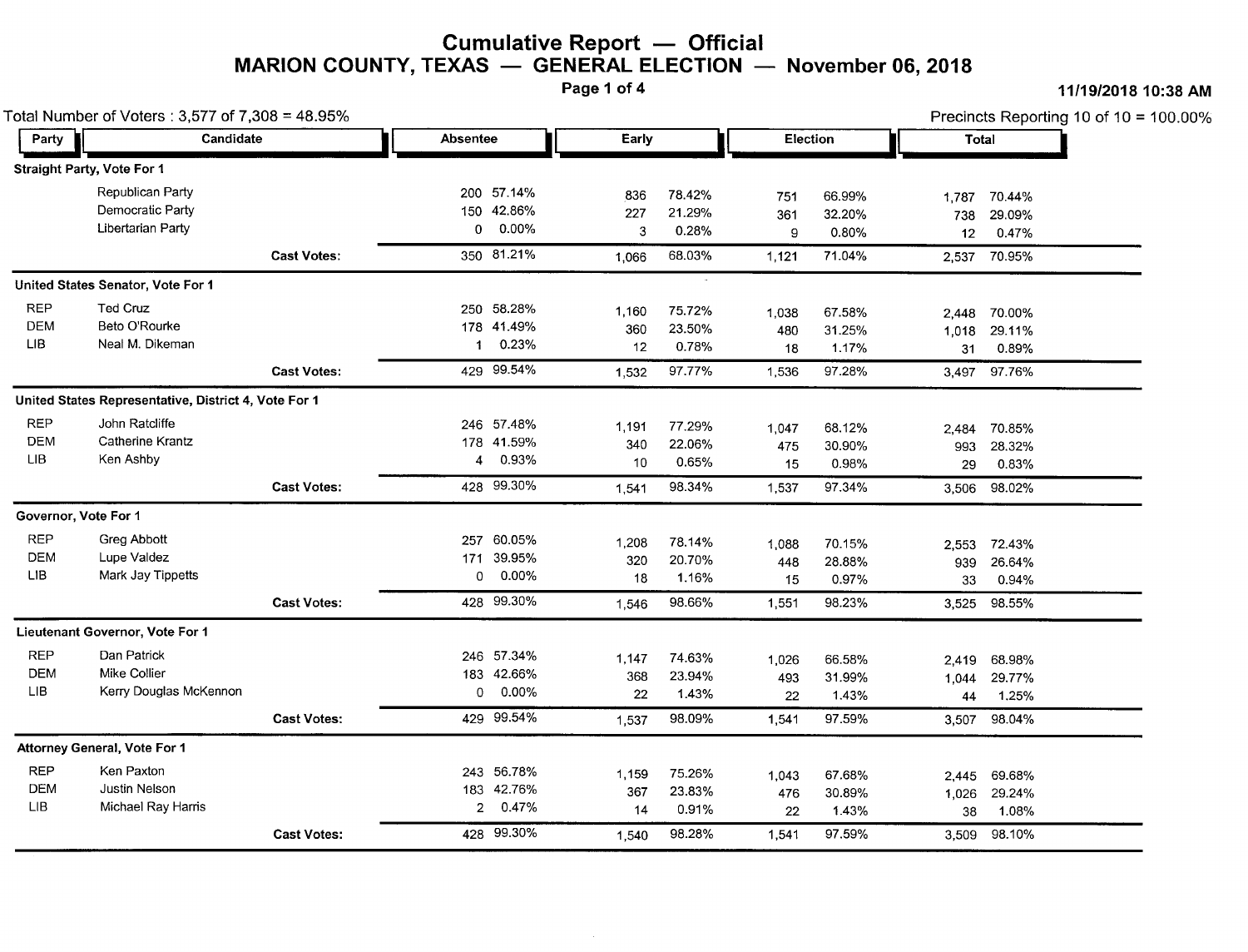## **Cumulative Report — Officia**<br>IYAS — CENERAL ELECTION **MARION COUNTY, TEXAS** - **GENERAL ELECTION November** 06, **<sup>2018</sup>**

#### Page 1 of 4 **11/19/2018** 10:38 AM

|             | Total Number of Voters: 3,577 of 7,308 = 48.95%      |                    |                |            |       |        |          |        |       | Precincts Reporting 10 of 10 = $100.00\%$ |  |  |
|-------------|------------------------------------------------------|--------------------|----------------|------------|-------|--------|----------|--------|-------|-------------------------------------------|--|--|
| Party       | Candidate                                            |                    | Absentee       |            | Early |        | Election |        | Total |                                           |  |  |
|             | Straight Party, Vote For 1                           |                    |                |            |       |        |          |        |       |                                           |  |  |
|             | Republican Party                                     |                    |                | 200 57.14% | 836   | 78.42% | 751      | 66.99% | 1,787 | 70.44%                                    |  |  |
|             | Democratic Party                                     |                    |                | 150 42.86% | 227   | 21.29% | 361      | 32.20% | 738   | 29.09%                                    |  |  |
|             | Libertarian Party                                    |                    | 0              | 0.00%      | 3     | 0.28%  | 9        | 0.80%  | 12    | 0.47%                                     |  |  |
|             |                                                      | <b>Cast Votes:</b> |                | 350 81.21% | 1,066 | 68.03% | 1,121    | 71.04% |       | 2,537 70.95%                              |  |  |
|             | United States Senator, Vote For 1                    |                    |                |            |       |        |          |        |       |                                           |  |  |
| <b>REP</b>  | Ted Cruz                                             |                    |                | 250 58.28% | 1,160 | 75.72% | 1,038    | 67.58% | 2,448 | 70.00%                                    |  |  |
| <b>DEM</b>  | Beto O'Rourke                                        |                    |                | 178 41.49% | 360   | 23.50% | 480      | 31.25% | 1,018 | 29.11%                                    |  |  |
| LIB         | Neal M. Dikeman                                      |                    | 1              | 0.23%      | 12    | 0.78%  | 18       | 1.17%  | 31    | 0.89%                                     |  |  |
|             |                                                      | <b>Cast Votes:</b> |                | 429 99.54% | 1.532 | 97.77% | 1,536    | 97.28% |       | 3,497 97.76%                              |  |  |
|             | United States Representative, District 4, Vote For 1 |                    |                |            |       |        |          |        |       |                                           |  |  |
| <b>REP</b>  | John Ratcliffe                                       |                    |                | 246 57.48% | 1,191 | 77.29% | 1,047    | 68.12% | 2,484 | 70.85%                                    |  |  |
| <b>DEM</b>  | Catherine Krantz                                     |                    |                | 178 41.59% | 340   | 22.06% | 475      | 30.90% | 993   | 28.32%                                    |  |  |
| <b>LIB</b>  | Ken Ashby                                            |                    | 4              | 0.93%      | 10    | 0.65%  | 15       | 0.98%  | 29    | 0.83%                                     |  |  |
|             |                                                      | <b>Cast Votes:</b> |                | 428 99.30% | 1,541 | 98.34% | 1,537    | 97.34% | 3,506 | 98.02%                                    |  |  |
|             | Governor, Vote For 1                                 |                    |                |            |       |        |          |        |       |                                           |  |  |
| <b>REP</b>  | Greg Abbott                                          |                    |                | 257 60.05% | 1,208 | 78.14% | 1,088    | 70.15% |       | 2,553 72.43%                              |  |  |
| <b>DEM</b>  | Lupe Valdez                                          |                    |                | 171 39.95% | 320   | 20.70% | 448      | 28.88% | 939   | 26.64%                                    |  |  |
| <b>LIB</b>  | Mark Jay Tippetts                                    |                    | 0              | $0.00\%$   | 18    | 1.16%  | 15       | 0.97%  | 33    | 0.94%                                     |  |  |
|             |                                                      | <b>Cast Votes:</b> |                | 428 99.30% | 1,546 | 98.66% | 1,551    | 98.23% | 3,525 | 98.55%                                    |  |  |
|             | Lieutenant Governor, Vote For 1                      |                    |                |            |       |        |          |        |       |                                           |  |  |
| <b>REP</b>  | Dan Patrick                                          |                    |                | 246 57.34% | 1,147 | 74.63% | 1,026    | 66.58% | 2,419 | 68.98%                                    |  |  |
| <b>DEM</b>  | Mike Collier                                         |                    |                | 183 42.66% | 368   | 23.94% | 493      | 31.99% | 1,044 | 29.77%                                    |  |  |
| LIB.        | Kerry Douglas McKennon                               |                    | 0              | 0.00%      | 22    | 1.43%  | 22       | 1.43%  | 44    | 1.25%                                     |  |  |
|             |                                                      | <b>Cast Votes:</b> |                | 429 99.54% | 1.537 | 98.09% | 1,541    | 97.59% | 3,507 | 98.04%                                    |  |  |
|             | Attorney General, Vote For 1                         |                    |                |            |       |        |          |        |       |                                           |  |  |
| <b>REP</b>  | Ken Paxton                                           |                    |                | 243 56.78% | 1,159 | 75.26% | 1,043    | 67.68% | 2,445 | 69.68%                                    |  |  |
| DEM         | Justin Nelson                                        |                    |                | 183 42.76% | 367   | 23.83% | 476      | 30.89% | 1,026 | 29.24%                                    |  |  |
| ${\sf LIB}$ | Michael Ray Harris                                   |                    | $\overline{2}$ | 0.47%      | 14    | 0.91%  | 22       | 1.43%  | 38    | 1.08%                                     |  |  |
|             |                                                      | <b>Cast Votes:</b> |                | 428 99.30% | 1,540 | 98.28% | 1,541    | 97.59% |       | 3,509 98.10%                              |  |  |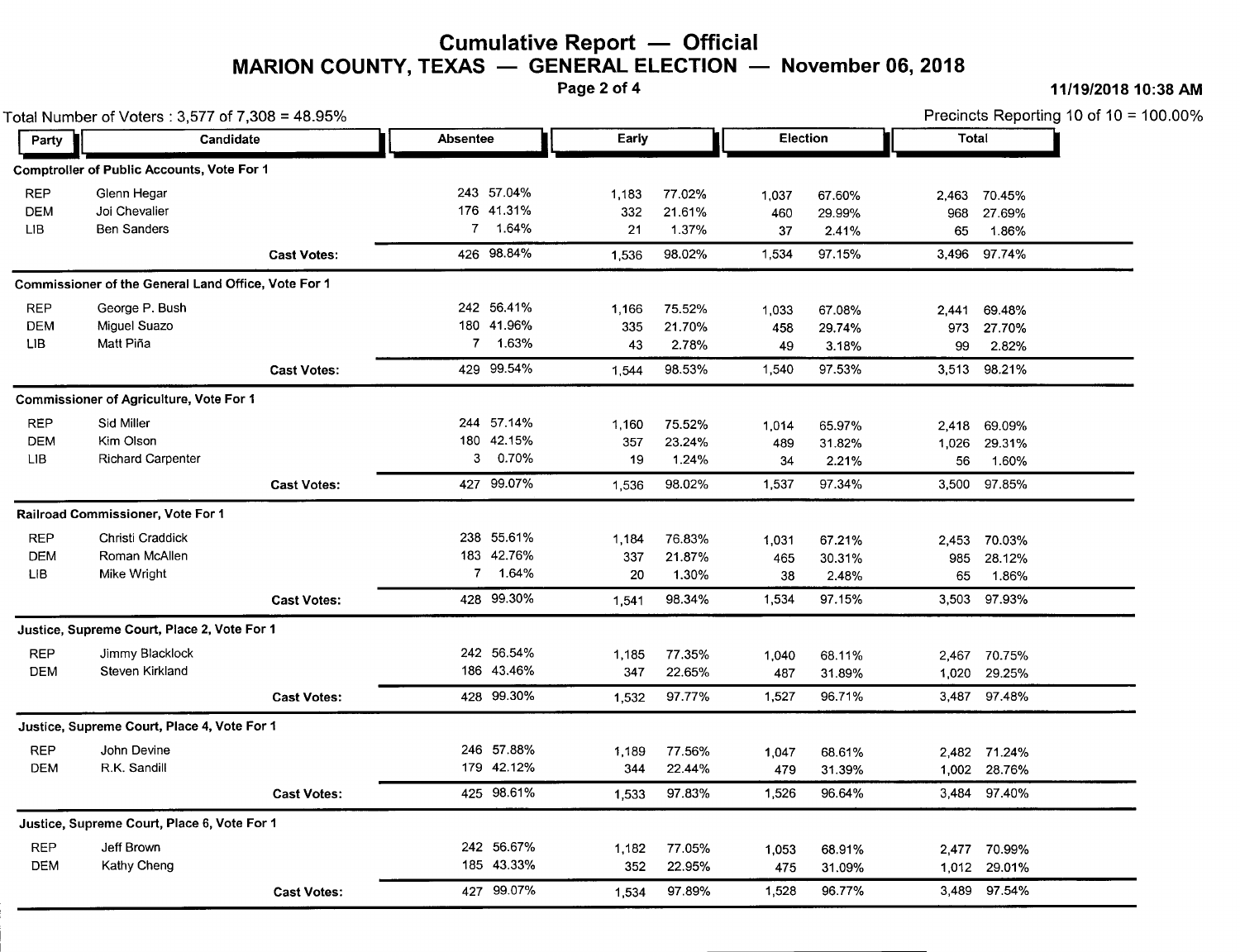# **Cumulative Report** - **Official MARION COUNTY, TEXAS** - **GENERAL ELECTION November** 06, **<sup>2018</sup>**

Page 2 of 4 **11/19/2018 10:38** AM

| Total Number of Voters: 3,577 of 7,308 = 48.95% |                                                     |                    |                   |            |          |                  | Precincts Reporting 10 of 10 = 100.00% |                  |       |                              |
|-------------------------------------------------|-----------------------------------------------------|--------------------|-------------------|------------|----------|------------------|----------------------------------------|------------------|-------|------------------------------|
| Party                                           | Candidate                                           |                    | Absentee<br>Early |            | Election |                  |                                        | Total            |       |                              |
|                                                 | <b>Comptroller of Public Accounts, Vote For 1</b>   |                    |                   |            |          |                  |                                        |                  |       |                              |
| <b>REP</b>                                      | Glenn Hegar                                         |                    |                   | 243 57.04% | 1,183    | 77.02%           | 1,037                                  | 67.60%           |       | 2,463 70.45%                 |
| <b>DEM</b>                                      | Joi Chevalier                                       |                    |                   | 176 41.31% | 332      | 21.61%           | 460                                    | 29.99%           | 968   | 27.69%                       |
| LIB                                             | <b>Ben Sanders</b>                                  |                    |                   | 7 1.64%    | 21       | 1.37%            | 37                                     | 2.41%            | 65    | 1.86%                        |
|                                                 |                                                     | <b>Cast Votes:</b> |                   | 426 98.84% | 1,536    | 98.02%           | 1,534                                  | 97.15%           | 3,496 | 97.74%                       |
|                                                 | Commissioner of the General Land Office, Vote For 1 |                    |                   |            |          |                  |                                        |                  |       |                              |
| <b>REP</b>                                      | George P. Bush                                      |                    |                   | 242 56.41% | 1.166    | 75.52%           | 1,033                                  | 67.08%           | 2.441 | 69.48%                       |
| <b>DEM</b>                                      | Miguel Suazo                                        |                    |                   | 180 41.96% | 335      | 21.70%           | 458                                    | 29.74%           | 973   | 27.70%                       |
| LIB                                             | Matt Piña                                           |                    |                   | 7 1.63%    | 43       | 2.78%            | 49                                     | 3.18%            | 99    | 2.82%                        |
|                                                 |                                                     | <b>Cast Votes:</b> |                   | 429 99.54% | 1,544    | 98.53%           | 1,540                                  | 97.53%           | 3,513 | 98.21%                       |
|                                                 | <b>Commissioner of Agriculture, Vote For 1</b>      |                    |                   |            |          |                  |                                        |                  |       |                              |
| <b>REP</b>                                      | Sid Miller                                          |                    |                   | 244 57.14% | 1,160    | 75.52%           | 1,014                                  | 65.97%           | 2,418 | 69.09%                       |
| <b>DEM</b>                                      | Kim Olson                                           |                    |                   | 180 42.15% | 357      | 23.24%           | 489                                    | 31.82%           | 1,026 | 29.31%                       |
| <b>LIB</b>                                      | <b>Richard Carpenter</b>                            |                    | 3                 | 0.70%      | 19       | 1.24%            | 34                                     | 2.21%            | 56    | 1.60%                        |
|                                                 |                                                     | <b>Cast Votes:</b> |                   | 427 99.07% | 1.536    | 98.02%           | 1,537                                  | 97.34%           |       | 3,500 97.85%                 |
|                                                 | Railroad Commissioner, Vote For 1                   |                    |                   |            |          |                  |                                        |                  |       |                              |
| <b>REP</b>                                      | Christi Craddick                                    |                    |                   | 238 55.61% | 1,184    | 76.83%           | 1,031                                  | 67.21%           |       | 2,453 70.03%                 |
| <b>DEM</b>                                      | Roman McAllen                                       |                    |                   | 183 42.76% | 337      | 21.87%           | 465                                    | 30.31%           | 985   | 28.12%                       |
| ЦB                                              | Mike Wright                                         |                    |                   | 7 1.64%    | 20       | 1.30%            | 38                                     | 2.48%            | 65    | 1.86%                        |
|                                                 |                                                     | <b>Cast Votes:</b> |                   | 428 99.30% | 1,541    | 98.34%           | 1.534                                  | 97.15%           |       | 3,503 97.93%                 |
|                                                 | Justice, Supreme Court, Place 2, Vote For 1         |                    |                   |            |          |                  |                                        |                  |       |                              |
| <b>REP</b>                                      | Jimmy Blacklock                                     |                    |                   | 242 56.54% | 1,185    | 77.35%           | 1,040                                  | 68.11%           |       | 2,467 70.75%                 |
| <b>DEM</b>                                      | Steven Kirkland                                     |                    |                   | 186 43.46% | 347      | 22.65%           | 487                                    | 31.89%           |       | 1,020 29.25%                 |
|                                                 |                                                     | <b>Cast Votes:</b> |                   | 428 99.30% | 1,532    | 97.77%           | 1,527                                  | 96.71%           |       | 3,487 97.48%                 |
|                                                 | Justice, Supreme Court, Place 4, Vote For 1         |                    |                   |            |          |                  |                                        |                  |       |                              |
| <b>REP</b>                                      | John Devine                                         |                    |                   | 246 57.88% | 1,189    |                  |                                        |                  |       |                              |
| <b>DEM</b>                                      | R.K. Sandill                                        |                    |                   | 179 42.12% | 344      | 77.56%<br>22.44% | 1,047<br>479                           | 68.61%<br>31.39% |       | 2,482 71.24%<br>1,002 28.76% |
|                                                 |                                                     |                    |                   |            |          |                  |                                        |                  |       |                              |
|                                                 |                                                     | <b>Cast Votes:</b> |                   | 425 98.61% | 1,533    | 97.83%           | 1,526                                  | 96.64%           |       | 3,484 97.40%                 |
|                                                 | Justice, Supreme Court, Place 6, Vote For 1         |                    |                   |            |          |                  |                                        |                  |       |                              |
| <b>REP</b>                                      | Jeff Brown                                          |                    |                   | 242 56.67% | 1,182    | 77.05%           | 1.053                                  | 68.91%           |       | 2,477 70.99%                 |
| <b>DEM</b>                                      | Kathy Cheng                                         |                    |                   | 185 43.33% | 352      | 22.95%           | 475                                    | 31.09%           |       | 1,012 29.01%                 |
|                                                 |                                                     | <b>Cast Votes:</b> |                   | 427 99.07% | 1,534    | 97.89%           | 1,528                                  | 96.77%           |       | 3,489 97.54%                 |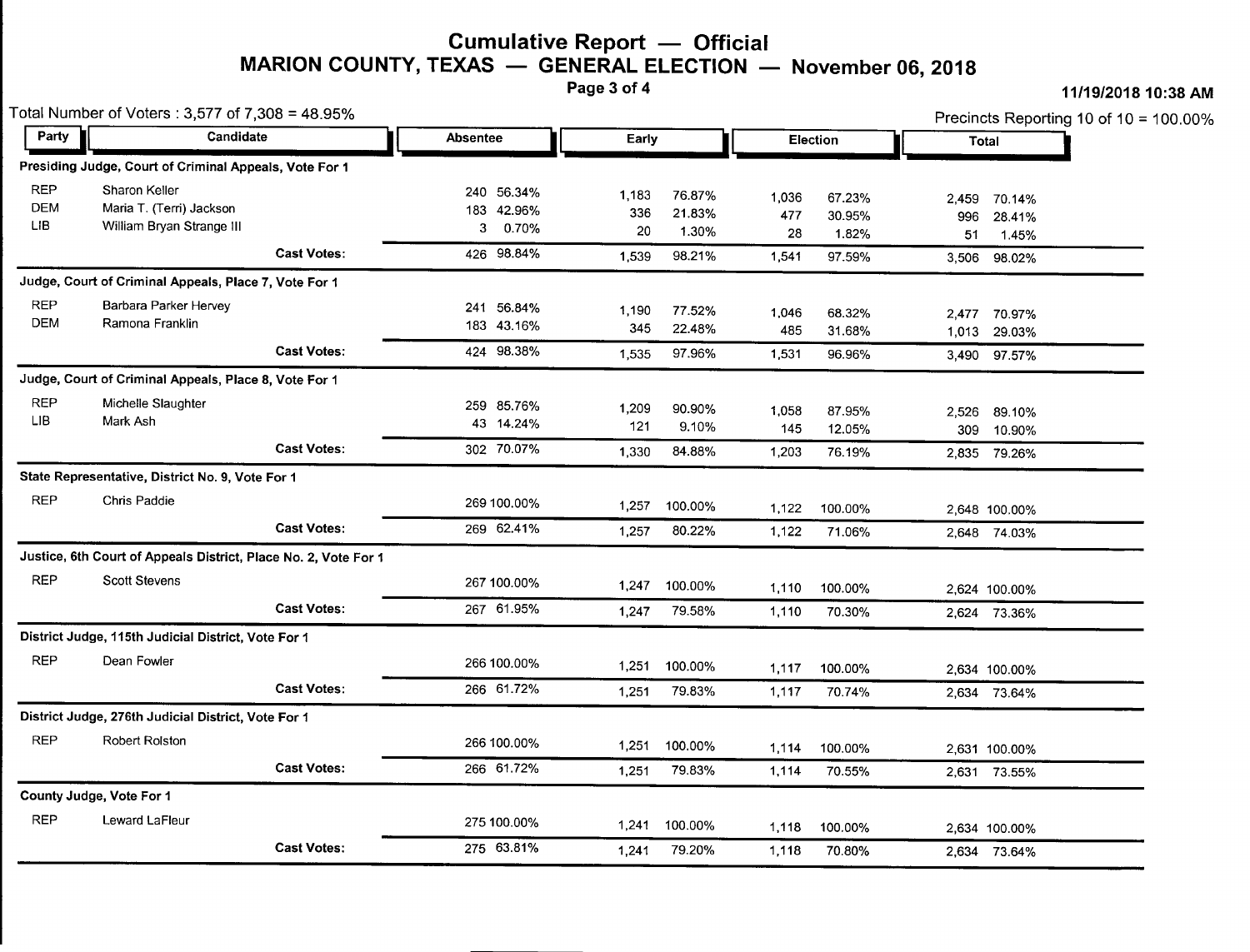#### **Cumulative Report — Officia**<br>IYAS — CENERAL ELECTION **MARION COUNTY, TEXAS** - **GENERAL ELECTION November** 06, **<sup>2018</sup>** Page 3 of 4 **11/19/2018 10:38** AM

| Total Number of Voters : 3,577 of 7,308 = 48.95% |                                                                 |                    |                   |                  |                                  | Precincts Reporting 10 of 10 = $100.00\%$ |  |  |
|--------------------------------------------------|-----------------------------------------------------------------|--------------------|-------------------|------------------|----------------------------------|-------------------------------------------|--|--|
|                                                  | Party<br>Candidate                                              |                    | Absentee<br>Early |                  | Election                         | Total                                     |  |  |
|                                                  | Presiding Judge, Court of Criminal Appeals, Vote For 1          |                    |                   |                  |                                  |                                           |  |  |
| <b>REP</b>                                       | Sharon Keller                                                   |                    | 240 56.34%        | 1,183<br>76.87%  | 1,036<br>67.23%                  | 70.14%<br>2.459                           |  |  |
| <b>DEM</b>                                       | Maria T. (Terri) Jackson                                        |                    | 183 42.96%        | 336<br>21.83%    | 477<br>30.95%                    | 996<br>28.41%                             |  |  |
| LIB.                                             | William Bryan Strange III                                       |                    | 0.70%<br>3        | 20<br>1.30%      | 28<br>1.82%                      | 51<br>1.45%                               |  |  |
|                                                  |                                                                 | <b>Cast Votes:</b> | 426 98.84%        | 98.21%<br>1,539  | 97.59%<br>1,541                  | 3.506<br>98.02%                           |  |  |
|                                                  | Judge, Court of Criminal Appeals, Place 7, Vote For 1           |                    |                   |                  |                                  |                                           |  |  |
| REP                                              | Barbara Parker Hervey                                           |                    | 241 56.84%        | 1,190<br>77.52%  | 1,046<br>68.32%                  | 2,477 70.97%                              |  |  |
| <b>DEM</b>                                       | Ramona Franklin                                                 |                    | 183 43.16%        | 345<br>22.48%    | 485<br>31.68%                    | 1,013 29.03%                              |  |  |
|                                                  |                                                                 | <b>Cast Votes:</b> | 424 98.38%        | 97.96%<br>1,535  | 1,531<br>96.96%                  | 3,490 97.57%                              |  |  |
|                                                  | Judge, Court of Criminal Appeals, Place 8, Vote For 1           |                    |                   |                  |                                  |                                           |  |  |
| <b>REP</b>                                       | Michelle Slaughter                                              |                    | 259 85.76%        | 1,209<br>90.90%  |                                  |                                           |  |  |
| LIB.                                             | Mark Ash                                                        |                    | 43 14.24%         | 121<br>9.10%     | 1,058<br>87.95%<br>145<br>12.05% | 2,526 89.10%                              |  |  |
|                                                  |                                                                 | <b>Cast Votes:</b> | 302 70.07%        |                  |                                  | 309<br>10.90%                             |  |  |
|                                                  |                                                                 |                    |                   | 84.88%<br>1.330  | 1,203<br>76.19%                  | 2.835 79.26%                              |  |  |
|                                                  | State Representative, District No. 9, Vote For 1                |                    |                   |                  |                                  |                                           |  |  |
| <b>REP</b>                                       | Chris Paddie                                                    |                    | 269 100.00%       | 1,257<br>100.00% | 1,122<br>100.00%                 | 2,648 100.00%                             |  |  |
|                                                  |                                                                 | <b>Cast Votes:</b> | 269 62.41%        | 80.22%<br>1,257  | 1,122<br>71.06%                  | 2,648 74.03%                              |  |  |
|                                                  | Justice, 6th Court of Appeals District, Place No. 2, Vote For 1 |                    |                   |                  |                                  |                                           |  |  |
| <b>REP</b>                                       | Scott Stevens                                                   |                    | 267 100.00%       | 100.00%<br>1,247 | 1.110<br>100.00%                 | 2,624 100.00%                             |  |  |
|                                                  |                                                                 | <b>Cast Votes:</b> | 267 61.95%        | 79.58%<br>1,247  | 1,110<br>70.30%                  | 2,624 73.36%                              |  |  |
|                                                  | District Judge, 115th Judicial District, Vote For 1             |                    |                   |                  |                                  |                                           |  |  |
| <b>REP</b>                                       | Dean Fowler                                                     |                    | 266 100.00%       | 1,251<br>100.00% | 100.00%<br>1,117                 | 2,634 100.00%                             |  |  |
|                                                  |                                                                 | <b>Cast Votes:</b> | 266 61.72%        | 79.83%<br>1,251  | 1,117<br>70.74%                  | 2,634 73.64%                              |  |  |
|                                                  | District Judge, 276th Judicial District, Vote For 1             |                    |                   |                  |                                  |                                           |  |  |
| <b>REP</b>                                       | <b>Robert Rolston</b>                                           |                    | 266 100.00%       | 1,251<br>100.00% | 1,114<br>100.00%                 | 2,631 100.00%                             |  |  |
|                                                  |                                                                 | <b>Cast Votes:</b> | 266 61.72%        | 79.83%<br>1,251  | 1,114<br>70.55%                  | 2,631 73.55%                              |  |  |
|                                                  | County Judge, Vote For 1                                        |                    |                   |                  |                                  |                                           |  |  |
| <b>REP</b>                                       | Leward LaFleur                                                  |                    | 275 100.00%       | 100.00%<br>1,241 | 1,118<br>100.00%                 | 2,634 100.00%                             |  |  |
|                                                  |                                                                 | <b>Cast Votes:</b> | 275 63.81%        | 79.20%<br>1,241  | 1,118<br>70.80%                  | 2,634 73.64%                              |  |  |
|                                                  |                                                                 |                    |                   |                  |                                  |                                           |  |  |